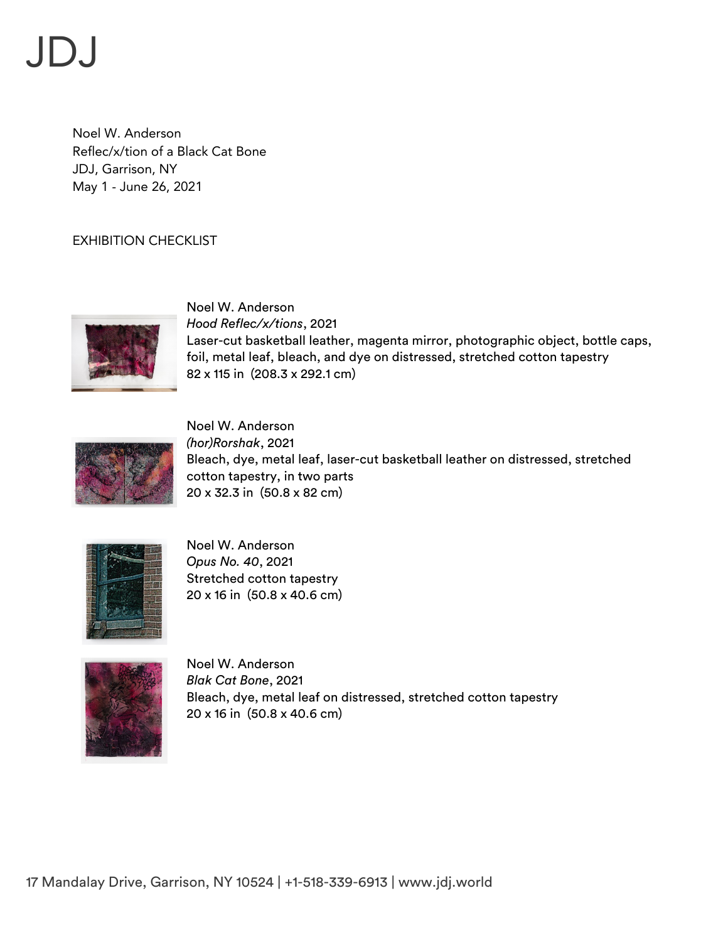## $J$ D $J$

Noel W. Anderson Reflec/x/tion of a Black Cat Bone JDJ, Garrison, NY May 1 - June 26, 2021

## EXHIBITION CHECKLIST



Noel W. Anderson *Hood Reflec/x/tions*, 2021 Laser-cut basketball leather, magenta mirror, photographic object, bottle caps, foil, metal leaf, bleach, and dye on distressed, stretched cotton tapestry 82 x 115 in (208.3 x 292.1 cm)



Noel W. Anderson *(hor)Rorshak*, 2021 Bleach, dye, metal leaf, laser-cut basketball leather on distressed, stretched cotton tapestry, in two parts 20 x 32.3 in (50.8 x 82 cm)



Noel W. Anderson *Opus No. 40*, 2021 Stretched cotton tapestry 20 x 16 in (50.8 x 40.6 cm)



Noel W. Anderson *Blak Cat Bone*, 2021 Bleach, dye, metal leaf on distressed, stretched cotton tapestry 20 x 16 in (50.8 x 40.6 cm)